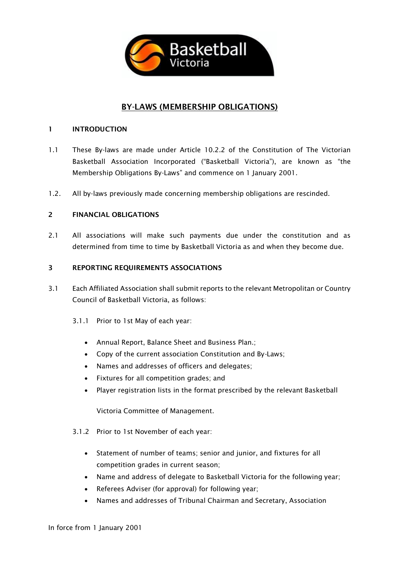

# BY-LAWS (MEMBERSHIP OBLIGATIONS)

### 1 INTRODUCTION

- 1.1 These By-laws are made under Article 10.2.2 of the Constitution of The Victorian Basketball Association Incorporated ("Basketball Victoria"), are known as "the Membership Obligations By-Laws" and commence on 1 January 2001.
- 1.2. All by-laws previously made concerning membership obligations are rescinded.

### 2 FINANCIAL OBLIGATIONS

2.1 All associations will make such payments due under the constitution and as determined from time to time by Basketball Victoria as and when they become due.

### 3 REPORTING REQUIREMENTS ASSOCIATIONS

- 3.1 Each Affiliated Association shall submit reports to the relevant Metropolitan or Country Council of Basketball Victoria, as follows:
	- 3.1.1 Prior to 1st May of each year:
		- Annual Report, Balance Sheet and Business Plan.;
		- Copy of the current association Constitution and By-Laws;
		- Names and addresses of officers and delegates;
		- Fixtures for all competition grades; and
		- Player registration lists in the format prescribed by the relevant Basketball

Victoria Committee of Management.

- 3.1.2 Prior to 1st November of each year:
	- Statement of number of teams; senior and junior, and fixtures for all competition grades in current season;
	- Name and address of delegate to Basketball Victoria for the following year;
	- Referees Adviser (for approval) for following year;
	- Names and addresses of Tribunal Chairman and Secretary, Association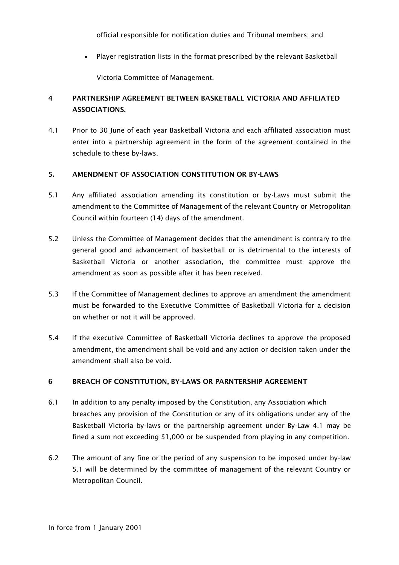official responsible for notification duties and Tribunal members; and

• Player registration lists in the format prescribed by the relevant Basketball

Victoria Committee of Management.

# 4 PARTNERSHIP AGREEMENT BETWEEN BASKETBALL VICTORIA AND AFFILIATED ASSOCIATIONS.

4.1 Prior to 30 June of each year Basketball Victoria and each affiliated association must enter into a partnership agreement in the form of the agreement contained in the schedule to these by-laws.

## 5. AMENDMENT OF ASSOCIATION CONSTITUTION OR BY-LAWS

- 5.1 Any affiliated association amending its constitution or by-Laws must submit the amendment to the Committee of Management of the relevant Country or Metropolitan Council within fourteen (14) days of the amendment.
- 5.2 Unless the Committee of Management decides that the amendment is contrary to the general good and advancement of basketball or is detrimental to the interests of Basketball Victoria or another association, the committee must approve the amendment as soon as possible after it has been received.
- 5.3 If the Committee of Management declines to approve an amendment the amendment must be forwarded to the Executive Committee of Basketball Victoria for a decision on whether or not it will be approved.
- 5.4 If the executive Committee of Basketball Victoria declines to approve the proposed amendment, the amendment shall be void and any action or decision taken under the amendment shall also be void.

# 6 BREACH OF CONSTITUTION, BY-LAWS OR PARNTERSHIP AGREEMENT

- 6.1 In addition to any penalty imposed by the Constitution, any Association which breaches any provision of the Constitution or any of its obligations under any of the Basketball Victoria by-laws or the partnership agreement under By-Law 4.1 may be fined a sum not exceeding \$1,000 or be suspended from playing in any competition.
- 6.2 The amount of any fine or the period of any suspension to be imposed under by-law 5.1 will be determined by the committee of management of the relevant Country or Metropolitan Council.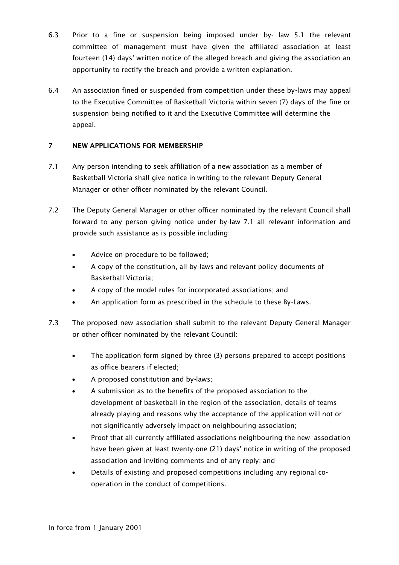- 6.3 Prior to a fine or suspension being imposed under by- law 5.1 the relevant committee of management must have given the affiliated association at least fourteen (14) days' written notice of the alleged breach and giving the association an opportunity to rectify the breach and provide a written explanation.
- 6.4 An association fined or suspended from competition under these by-laws may appeal to the Executive Committee of Basketball Victoria within seven (7) days of the fine or suspension being notified to it and the Executive Committee will determine the appeal.

# 7 NEW APPLICATIONS FOR MEMBERSHIP

- 7.1 Any person intending to seek affiliation of a new association as a member of Basketball Victoria shall give notice in writing to the relevant Deputy General Manager or other officer nominated by the relevant Council.
- 7.2 The Deputy General Manager or other officer nominated by the relevant Council shall forward to any person giving notice under by-law 7.1 all relevant information and provide such assistance as is possible including:
	- Advice on procedure to be followed;
	- A copy of the constitution, all by-laws and relevant policy documents of Basketball Victoria;
	- A copy of the model rules for incorporated associations; and
	- An application form as prescribed in the schedule to these By-Laws.
- 7.3 The proposed new association shall submit to the relevant Deputy General Manager or other officer nominated by the relevant Council:
	- The application form signed by three (3) persons prepared to accept positions as office bearers if elected;
	- A proposed constitution and by-laws;
	- A submission as to the benefits of the proposed association to the development of basketball in the region of the association, details of teams already playing and reasons why the acceptance of the application will not or not significantly adversely impact on neighbouring association;
	- Proof that all currently affiliated associations neighbouring the new association have been given at least twenty-one (21) days' notice in writing of the proposed association and inviting comments and of any reply; and
	- Details of existing and proposed competitions including any regional cooperation in the conduct of competitions.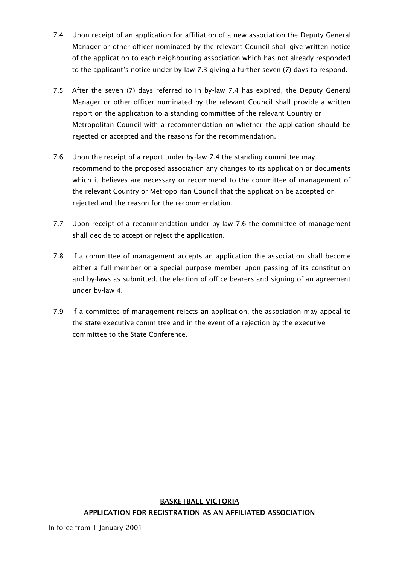- 7.4 Upon receipt of an application for affiliation of a new association the Deputy General Manager or other officer nominated by the relevant Council shall give written notice of the application to each neighbouring association which has not already responded to the applicant's notice under by-law 7.3 giving a further seven (7) days to respond.
- 7.5 After the seven (7) days referred to in by-law 7.4 has expired, the Deputy General Manager or other officer nominated by the relevant Council shall provide a written report on the application to a standing committee of the relevant Country or Metropolitan Council with a recommendation on whether the application should be rejected or accepted and the reasons for the recommendation.
- 7.6 Upon the receipt of a report under by-law 7.4 the standing committee may recommend to the proposed association any changes to its application or documents which it believes are necessary or recommend to the committee of management of the relevant Country or Metropolitan Council that the application be accepted or rejected and the reason for the recommendation.
- 7.7 Upon receipt of a recommendation under by-law 7.6 the committee of management shall decide to accept or reject the application.
- 7.8 If a committee of management accepts an application the association shall become either a full member or a special purpose member upon passing of its constitution and by-laws as submitted, the election of office bearers and signing of an agreement under by-law 4.
- 7.9 If a committee of management rejects an application, the association may appeal to the state executive committee and in the event of a rejection by the executive committee to the State Conference.

# BASKETBALL VICTORIA APPLICATION FOR REGISTRATION AS AN AFFILIATED ASSOCIATION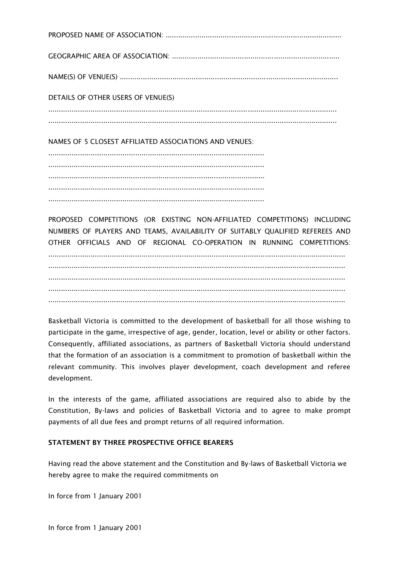PROPOSED NAME OF ASSOCIATION: ................................................................................... GEOGRAPHIC AREA OF ASSOCIATION: ............................................................................... NAME(S) OF VENUE(S) ....................................................................................................... DETAILS OF OTHER USERS OF VENUE(S) ........................................................................................................................................ ........................................................................................................................................

NAMES OF 5 CLOSEST AFFILIATED ASSOCIATIONS AND VENUES:

...................................................................................................... ...................................................................................................... ...................................................................................................... ...................................................................................................... ......................................................................................................

PROPOSED COMPETITIONS (OR EXISTING NON-AFFILIATED COMPETITIONS) INCLUDING NUMBERS OF PLAYERS AND TEAMS, AVAILABILITY OF SUITABLY QUALIFIED REFEREES AND OTHER OFFICIALS AND OF REGIONAL CO-OPERATION IN RUNNING COMPETITIONS:

............................................................................................................................................ ............................................................................................................................................ ............................................................................................................................................ ............................................................................................................................................ ............................................................................................................................................

Basketball Victoria is committed to the development of basketball for all those wishing to participate in the game, irrespective of age, gender, location, level or ability or other factors. Consequently, affiliated associations, as partners of Basketball Victoria should understand that the formation of an association is a commitment to promotion of basketball within the relevant community. This involves player development, coach development and referee development.

In the interests of the game, affiliated associations are required also to abide by the Constitution, By-laws and policies of Basketball Victoria and to agree to make prompt payments of all due fees and prompt returns of all required information.

# STATEMENT BY THREE PROSPECTIVE OFFICE BEARERS

Having read the above statement and the Constitution and By-laws of Basketball Victoria we hereby agree to make the required commitments on

In force from 1 January 2001

In force from 1 January 2001